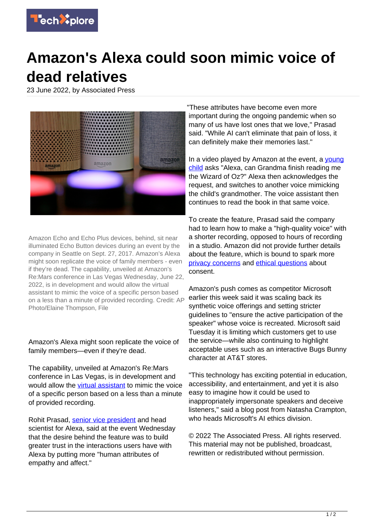

## **Amazon's Alexa could soon mimic voice of dead relatives**

23 June 2022, by Associated Press



Amazon Echo and Echo Plus devices, behind, sit near illuminated Echo Button devices during an event by the company in Seattle on Sept. 27, 2017. Amazon's Alexa might soon replicate the voice of family members - even if they're dead. The capability, unveiled at Amazon's Re:Mars conference in Las Vegas Wednesday, June 22, 2022, is in development and would allow the virtual assistant to mimic the voice of a specific person based on a less than a minute of provided recording. Credit: AP Photo/Elaine Thompson, File

## Amazon's Alexa might soon replicate the voice of family members—even if they're dead.

The capability, unveiled at Amazon's Re:Mars conference in Las Vegas, is in development and would allow the [virtual assistant](https://techxplore.com/tags/virtual+assistant/) to mimic the voice of a specific person based on a less than a minute of provided recording.

Rohit Prasad, [senior vice president](https://techxplore.com/tags/senior+vice+president/) and head scientist for Alexa, said at the event Wednesday that the desire behind the feature was to build greater trust in the interactions users have with Alexa by putting more "human attributes of empathy and affect."

"These attributes have become even more important during the ongoing pandemic when so many of us have lost ones that we love," Prasad said. "While AI can't eliminate that pain of loss, it can definitely make their memories last."

In a video played by Amazon at the event, a [young](https://techxplore.com/tags/young+child/) [child](https://techxplore.com/tags/young+child/) asks "Alexa, can Grandma finish reading me the Wizard of Oz?" Alexa then acknowledges the request, and switches to another voice mimicking the child's grandmother. The voice assistant then continues to read the book in that same voice.

To create the feature, Prasad said the company had to learn how to make a "high-quality voice" with a shorter recording, opposed to hours of recording in a studio. Amazon did not provide further details about the feature, which is bound to spark more [privacy concerns](https://techxplore.com/tags/privacy+concerns/) and [ethical questions](https://techxplore.com/tags/ethical+questions/) about consent.

Amazon's push comes as competitor Microsoft earlier this week said it was scaling back its synthetic voice offerings and setting stricter guidelines to "ensure the active participation of the speaker" whose voice is recreated. Microsoft said Tuesday it is limiting which customers get to use the service—while also continuing to highlight acceptable uses such as an interactive Bugs Bunny character at AT&T stores.

"This technology has exciting potential in education, accessibility, and entertainment, and yet it is also easy to imagine how it could be used to inappropriately impersonate speakers and deceive listeners," said a blog post from Natasha Crampton, who heads Microsoft's AI ethics division.

© 2022 The Associated Press. All rights reserved. This material may not be published, broadcast, rewritten or redistributed without permission.